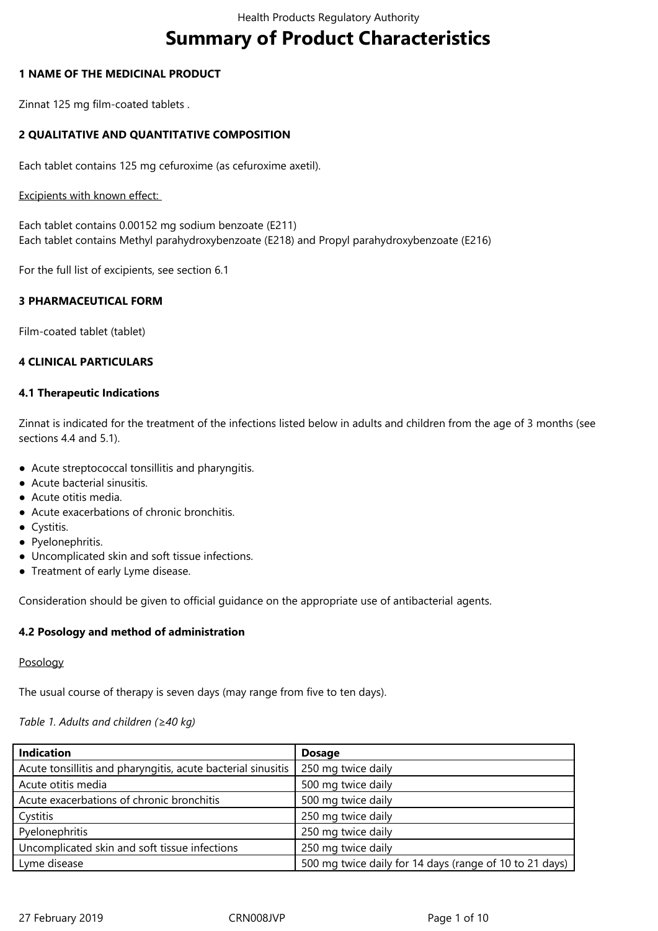# **Summary of Product Characteristics**

#### **1 NAME OF THE MEDICINAL PRODUCT**

Zinnat 125 mg film-coated tablets .

# **2 QUALITATIVE AND QUANTITATIVE COMPOSITION**

Each tablet contains 125 mg cefuroxime (as cefuroxime axetil).

#### Excipients with known effect:

Each tablet contains 0.00152 mg sodium benzoate (E211) Each tablet contains Methyl parahydroxybenzoate (E218) and Propyl parahydroxybenzoate (E216)

For the full list of excipients, see section 6.1

# **3 PHARMACEUTICAL FORM**

Film-coated tablet (tablet)

# **4 CLINICAL PARTICULARS**

### **4.1 Therapeutic Indications**

Zinnat is indicated for the treatment of the infections listed below in adults and children from the age of 3 months (see sections 4.4 and 5.1).

- Acute streptococcal tonsillitis and pharyngitis.
- Acute bacterial sinusitis.
- Acute otitis media.
- Acute exacerbations of chronic bronchitis.
- Cystitis.
- Pyelonephritis.
- Uncomplicated skin and soft tissue infections.
- Treatment of early Lyme disease.

Consideration should be given to official guidance on the appropriate use of antibacterial agents.

# **4.2 Posology and method of administration**

#### Posology

The usual course of therapy is seven days (may range from five to ten days).

# *Table 1. Adults and children (≥40 kg)*

| <b>Indication</b>                                            | <b>Dosage</b>                                           |
|--------------------------------------------------------------|---------------------------------------------------------|
| Acute tonsillitis and pharyngitis, acute bacterial sinusitis | 250 mg twice daily                                      |
| Acute otitis media                                           | 500 mg twice daily                                      |
| Acute exacerbations of chronic bronchitis                    | 500 mg twice daily                                      |
| Cystitis                                                     | 250 mg twice daily                                      |
| Pyelonephritis                                               | 250 mg twice daily                                      |
| Uncomplicated skin and soft tissue infections                | 250 mg twice daily                                      |
| Lyme disease                                                 | 500 mg twice daily for 14 days (range of 10 to 21 days) |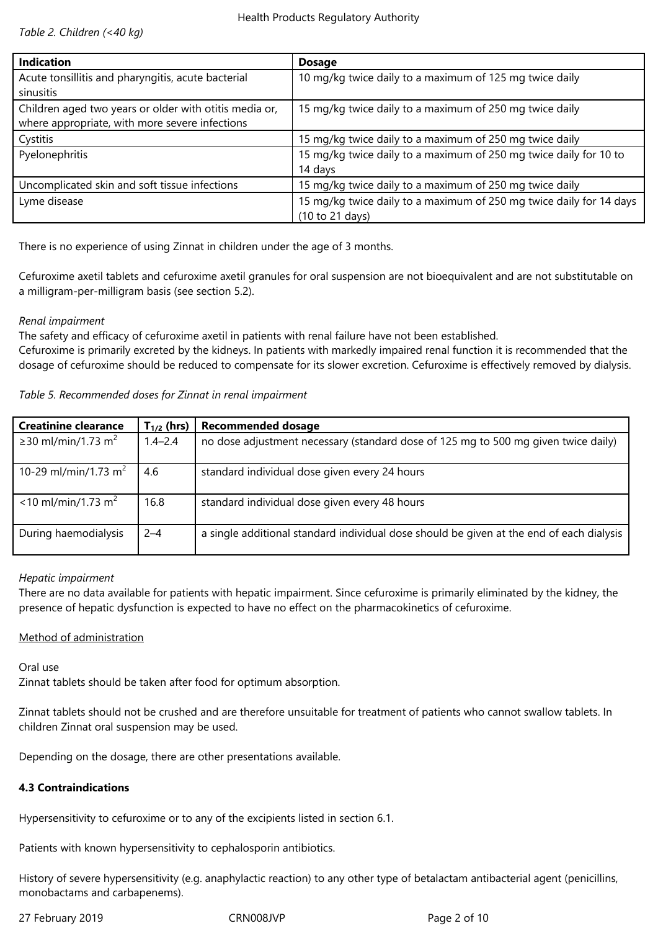*Table 2. Children (<40 kg)*

| <b>Indication</b>                                      | <b>Dosage</b>                                                       |
|--------------------------------------------------------|---------------------------------------------------------------------|
| Acute tonsillitis and pharyngitis, acute bacterial     | 10 mg/kg twice daily to a maximum of 125 mg twice daily             |
| sinusitis                                              |                                                                     |
| Children aged two years or older with otitis media or, | 15 mg/kg twice daily to a maximum of 250 mg twice daily             |
| where appropriate, with more severe infections         |                                                                     |
| Cystitis                                               | 15 mg/kg twice daily to a maximum of 250 mg twice daily             |
| Pyelonephritis                                         | 15 mg/kg twice daily to a maximum of 250 mg twice daily for 10 to   |
|                                                        | 14 days                                                             |
| Uncomplicated skin and soft tissue infections          | 15 mg/kg twice daily to a maximum of 250 mg twice daily             |
| Lyme disease                                           | 15 mg/kg twice daily to a maximum of 250 mg twice daily for 14 days |
|                                                        | (10 to 21 days)                                                     |

There is no experience of using Zinnat in children under the age of 3 months.

Cefuroxime axetil tablets and cefuroxime axetil granules for oral suspension are not bioequivalent and are not substitutable on a milligram-per-milligram basis (see section 5.2).

### *Renal impairment*

The safety and efficacy of cefuroxime axetil in patients with renal failure have not been established.

Cefuroxime is primarily excreted by the kidneys. In patients with markedly impaired renal function it is recommended that the dosage of cefuroxime should be reduced to compensate for its slower excretion. Cefuroxime is effectively removed by dialysis.

| Table 5. Recommended doses for Zinnat in renal impairment |  |  |
|-----------------------------------------------------------|--|--|
|                                                           |  |  |

| <b>Creatinine clearance</b>       | $T_{1/2}$ (hrs) | <b>Recommended dosage</b>                                                                |
|-----------------------------------|-----------------|------------------------------------------------------------------------------------------|
| ≥30 ml/min/1.73 m <sup>2</sup>    | $1.4 - 2.4$     | no dose adjustment necessary (standard dose of 125 mg to 500 mg given twice daily)       |
| 10-29 ml/min/1.73 m <sup>2</sup>  | 4.6             | standard individual dose given every 24 hours                                            |
| $<$ 10 ml/min/1.73 m <sup>2</sup> | 16.8            | standard individual dose given every 48 hours                                            |
| During haemodialysis              | $2 - 4$         | a single additional standard individual dose should be given at the end of each dialysis |

# *Hepatic impairment*

There are no data available for patients with hepatic impairment. Since cefuroxime is primarily eliminated by the kidney, the presence of hepatic dysfunction is expected to have no effect on the pharmacokinetics of cefuroxime.

# Method of administration

Oral use

Zinnat tablets should be taken after food for optimum absorption.

Zinnat tablets should not be crushed and are therefore unsuitable for treatment of patients who cannot swallow tablets. In children Zinnat oral suspension may be used.

Depending on the dosage, there are other presentations available.

# **4.3 Contraindications**

Hypersensitivity to cefuroxime or to any of the excipients listed in section 6.1.

Patients with known hypersensitivity to cephalosporin antibiotics.

History of severe hypersensitivity (e.g. anaphylactic reaction) to any other type of betalactam antibacterial agent (penicillins, monobactams and carbapenems).

27 February 2019 **CRNOO8JVP** Page 2 of 10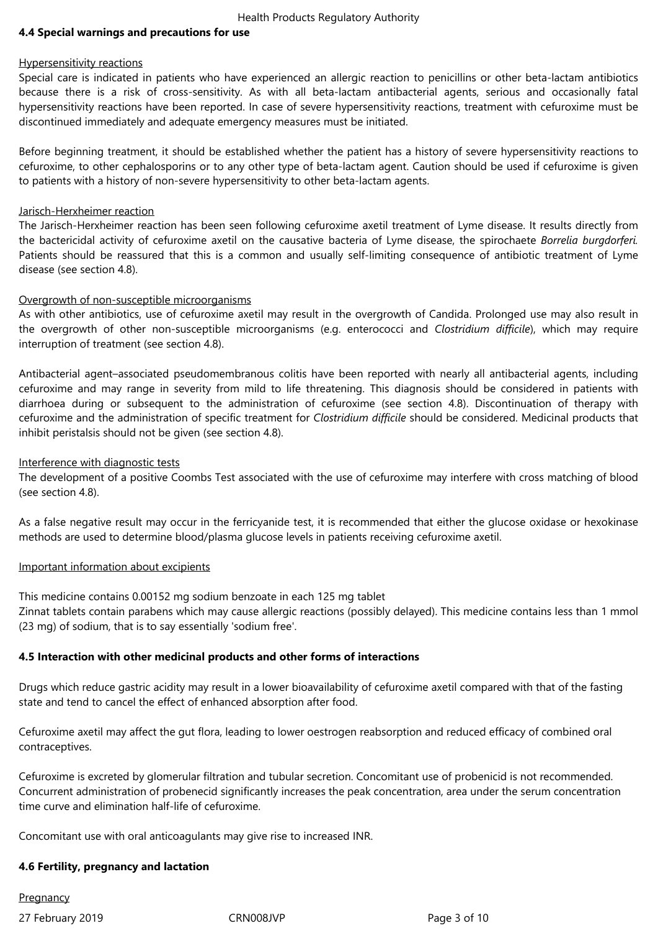Health Products Regulatory Authority

#### **4.4 Special warnings and precautions for use**

#### Hypersensitivity reactions

Special care is indicated in patients who have experienced an allergic reaction to penicillins or other beta-lactam antibiotics because there is a risk of cross-sensitivity. As with all beta-lactam antibacterial agents, serious and occasionally fatal hypersensitivity reactions have been reported. In case of severe hypersensitivity reactions, treatment with cefuroxime must be discontinued immediately and adequate emergency measures must be initiated.

Before beginning treatment, it should be established whether the patient has a history of severe hypersensitivity reactions to cefuroxime, to other cephalosporins or to any other type of beta-lactam agent. Caution should be used if cefuroxime is given to patients with a history of non-severe hypersensitivity to other beta-lactam agents.

#### Jarisch-Herxheimer reaction

The Jarisch-Herxheimer reaction has been seen following cefuroxime axetil treatment of Lyme disease. It results directly from the bactericidal activity of cefuroxime axetil on the causative bacteria of Lyme disease, the spirochaete *Borrelia burgdorferi.* Patients should be reassured that this is a common and usually self-limiting consequence of antibiotic treatment of Lyme disease (see section 4.8).

### Overgrowth of non-susceptible microorganisms

As with other antibiotics, use of cefuroxime axetil may result in the overgrowth of Candida. Prolonged use may also result in the overgrowth of other non-susceptible microorganisms (e.g. enterococci and *Clostridium difficile*), which may require interruption of treatment (see section 4.8).

Antibacterial agent–associated pseudomembranous colitis have been reported with nearly all antibacterial agents, including cefuroxime and may range in severity from mild to life threatening. This diagnosis should be considered in patients with diarrhoea during or subsequent to the administration of cefuroxime (see section 4.8). Discontinuation of therapy with cefuroxime and the administration of specific treatment for *Clostridium difficile* should be considered. Medicinal products that inhibit peristalsis should not be given (see section 4.8).

#### Interference with diagnostic tests

The development of a positive Coombs Test associated with the use of cefuroxime may interfere with cross matching of blood (see section 4.8).

As a false negative result may occur in the ferricyanide test, it is recommended that either the glucose oxidase or hexokinase methods are used to determine blood/plasma glucose levels in patients receiving cefuroxime axetil.

#### Important information about excipients

This medicine contains 0.00152 mg sodium benzoate in each 125 mg tablet

Zinnat tablets contain parabens which may cause allergic reactions (possibly delayed). This medicine contains less than 1 mmol (23 mg) of sodium, that is to say essentially 'sodium free'.

# **4.5 Interaction with other medicinal products and other forms of interactions**

Drugs which reduce gastric acidity may result in a lower bioavailability of cefuroxime axetil compared with that of the fasting state and tend to cancel the effect of enhanced absorption after food.

Cefuroxime axetil may affect the gut flora, leading to lower oestrogen reabsorption and reduced efficacy of combined oral contraceptives.

Cefuroxime is excreted by glomerular filtration and tubular secretion. Concomitant use of probenicid is not recommended. Concurrent administration of probenecid significantly increases the peak concentration, area under the serum concentration time curve and elimination half-life of cefuroxime.

Concomitant use with oral anticoagulants may give rise to increased INR.

#### **4.6 Fertility, pregnancy and lactation**

**Pregnancy** 

27 February 2019 **CRNOO8JVP** Page 3 of 10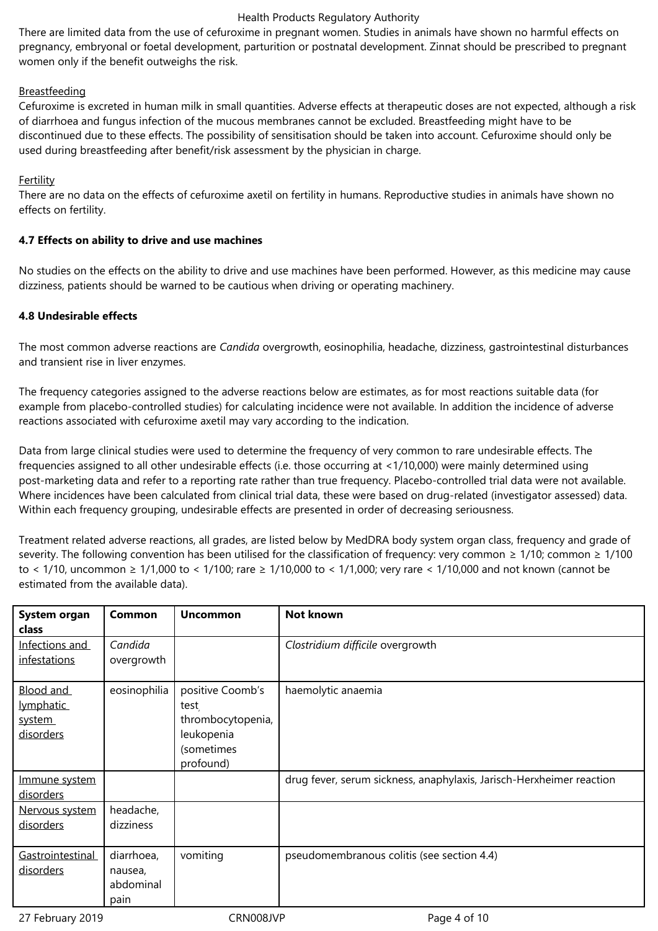#### Health Products Regulatory Authority

There are limited data from the use of cefuroxime in pregnant women. Studies in animals have shown no harmful effects on pregnancy, embryonal or foetal development, parturition or postnatal development. Zinnat should be prescribed to pregnant women only if the benefit outweighs the risk.

# Breastfeeding

Cefuroxime is excreted in human milk in small quantities. Adverse effects at therapeutic doses are not expected, although a risk of diarrhoea and fungus infection of the mucous membranes cannot be excluded. Breastfeeding might have to be discontinued due to these effects. The possibility of sensitisation should be taken into account. Cefuroxime should only be used during breastfeeding after benefit/risk assessment by the physician in charge.

# Fertility

There are no data on the effects of cefuroxime axetil on fertility in humans. Reproductive studies in animals have shown no effects on fertility.

# **4.7 Effects on ability to drive and use machines**

No studies on the effects on the ability to drive and use machines have been performed. However, as this medicine may cause dizziness, patients should be warned to be cautious when driving or operating machinery.

# **4.8 Undesirable effects**

The most common adverse reactions are *Candida* overgrowth, eosinophilia, headache, dizziness, gastrointestinal disturbances and transient rise in liver enzymes.

The frequency categories assigned to the adverse reactions below are estimates, as for most reactions suitable data (for example from placebo-controlled studies) for calculating incidence were not available. In addition the incidence of adverse reactions associated with cefuroxime axetil may vary according to the indication.

Data from large clinical studies were used to determine the frequency of very common to rare undesirable effects. The frequencies assigned to all other undesirable effects (i.e. those occurring at <1/10,000) were mainly determined using post-marketing data and refer to a reporting rate rather than true frequency. Placebo-controlled trial data were not available. Where incidences have been calculated from clinical trial data, these were based on drug-related (investigator assessed) data. Within each frequency grouping, undesirable effects are presented in order of decreasing seriousness.

Treatment related adverse reactions, all grades, are listed below by MedDRA body system organ class, frequency and grade of severity. The following convention has been utilised for the classification of frequency: very common  $\geq 1/10$ ; common  $\geq 1/100$ to < 1/10, uncommon ≥ 1/1,000 to < 1/100; rare ≥ 1/10,000 to < 1/1,000; very rare < 1/10,000 and not known (cannot be estimated from the available data).

| System organ<br><b>class</b>                  | <b>Common</b>                              | <b>Uncommon</b>                                                                        | <b>Not known</b>                                                     |
|-----------------------------------------------|--------------------------------------------|----------------------------------------------------------------------------------------|----------------------------------------------------------------------|
| Infections and<br>infestations                | Candida<br>overgrowth                      |                                                                                        | Clostridium difficile overgrowth                                     |
| Blood and<br>lymphatic<br>system<br>disorders | eosinophilia                               | positive Coomb's<br>test<br>thrombocytopenia,<br>leukopenia<br>(sometimes<br>profound) | haemolytic anaemia                                                   |
| Immune system<br>disorders                    |                                            |                                                                                        | drug fever, serum sickness, anaphylaxis, Jarisch-Herxheimer reaction |
| Nervous system<br>disorders                   | headache,<br>dizziness                     |                                                                                        |                                                                      |
| Gastrointestinal<br>disorders                 | diarrhoea,<br>nausea,<br>abdominal<br>pain | vomiting                                                                               | pseudomembranous colitis (see section 4.4)                           |

27 February 2019 **CRNOO8JVP** Page 4 of 10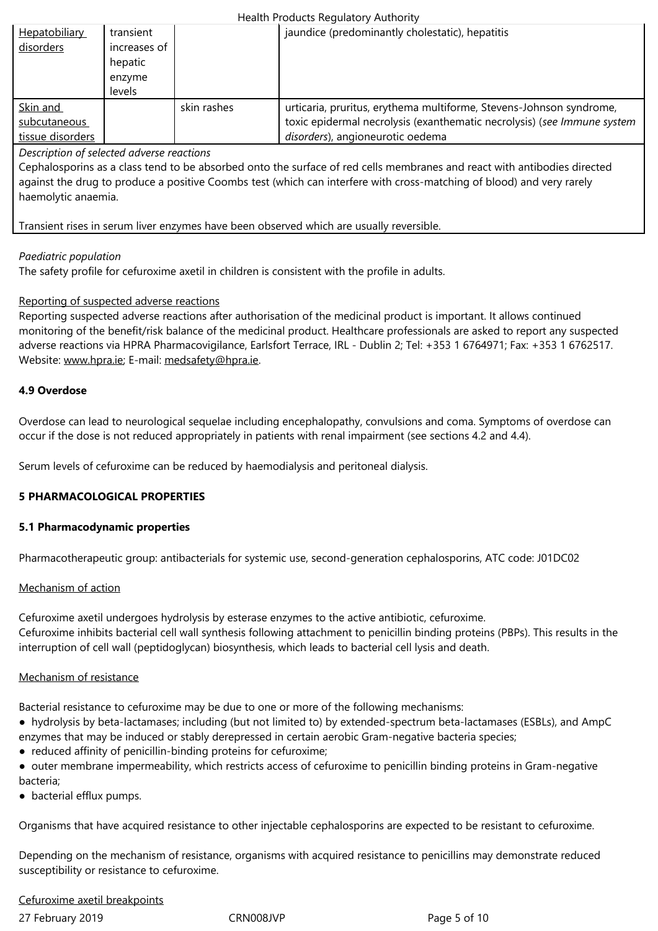|                  | hepatic |             |                                                                         |
|------------------|---------|-------------|-------------------------------------------------------------------------|
|                  | enzyme  |             |                                                                         |
|                  | levels  |             |                                                                         |
| Skin and         |         | skin rashes | urticaria, pruritus, erythema multiforme, Stevens-Johnson syndrome,     |
| subcutaneous     |         |             | toxic epidermal necrolysis (exanthematic necrolysis) (see Immune system |
| tissue disorders |         |             | disorders), angioneurotic oedema                                        |

*Description of selected adverse reactions*

Cephalosporins as a class tend to be absorbed onto the surface of red cells membranes and react with antibodies directed against the drug to produce a positive Coombs test (which can interfere with cross-matching of blood) and very rarely haemolytic anaemia.

Transient rises in serum liver enzymes have been observed which are usually reversible.

#### *Paediatric population*

The safety profile for cefuroxime axetil in children is consistent with the profile in adults.

#### Reporting of suspected adverse reactions

Reporting suspected adverse reactions after authorisation of the medicinal product is important. It allows continued monitoring of the benefit/risk balance of the medicinal product. Healthcare professionals are asked to report any suspected adverse reactions via HPRA Pharmacovigilance, Earlsfort Terrace, IRL - Dublin 2; Tel: +353 1 6764971; Fax: +353 1 6762517. Website: www.hpra.ie; E-mail: medsafety@hpra.ie.

### **4.9 Overdose**

Overdos[e can lead to](http://www.hpra.ie/) neurolo[gical sequelae includ](mailto:medsafety@hpra.ie)ing encephalopathy, convulsions and coma. Symptoms of overdose can occur if the dose is not reduced appropriately in patients with renal impairment (see sections 4.2 and 4.4).

Serum levels of cefuroxime can be reduced by haemodialysis and peritoneal dialysis.

# **5 PHARMACOLOGICAL PROPERTIES**

#### **5.1 Pharmacodynamic properties**

Pharmacotherapeutic group: antibacterials for systemic use, second-generation cephalosporins, ATC code: J01DC02

#### Mechanism of action

Cefuroxime axetil undergoes hydrolysis by esterase enzymes to the active antibiotic, cefuroxime. Cefuroxime inhibits bacterial cell wall synthesis following attachment to penicillin binding proteins (PBPs). This results in the interruption of cell wall (peptidoglycan) biosynthesis, which leads to bacterial cell lysis and death.

#### Mechanism of resistance

Bacterial resistance to cefuroxime may be due to one or more of the following mechanisms:

- hydrolysis by beta-lactamases; including (but not limited to) by extended-spectrum beta-lactamases (ESBLs), and AmpC enzymes that may be induced or stably derepressed in certain aerobic Gram-negative bacteria species;
- reduced affinity of penicillin-binding proteins for cefuroxime;
- outer membrane impermeability, which restricts access of cefuroxime to penicillin binding proteins in Gram-negative bacteria;
- bacterial efflux pumps.

Organisms that have acquired resistance to other injectable cephalosporins are expected to be resistant to cefuroxime.

Depending on the mechanism of resistance, organisms with acquired resistance to penicillins may demonstrate reduced susceptibility or resistance to cefuroxime.

# Cefuroxime axetil breakpoints

27 February 2019 **CRNOO8JVP** Page 5 of 10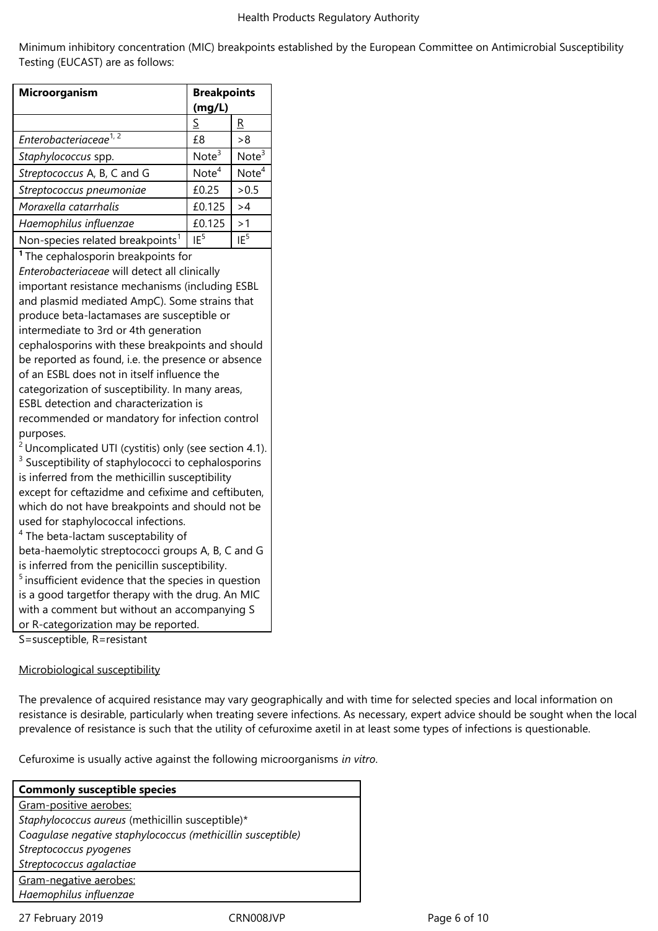Minimum inhibitory concentration (MIC) breakpoints established by the European Committee on Antimicrobial Susceptibility Testing (EUCAST) are as follows:

| S<br>Enterobacteriaceae <sup>1,2</sup><br>Staphylococcus spp.<br>Streptococcus A, B, C and G<br>Streptococcus pneumoniae<br>Moraxella catarrhalis<br>Haemophilus influenzae<br>Non-species related breakpoints <sup>1</sup><br><sup>1</sup> The cephalosporin breakpoints for<br>Enterobacteriaceae will detect all clinically<br>important resistance mechanisms (including ESBL<br>and plasmid mediated AmpC). Some strains that<br>produce beta-lactamases are susceptible or<br>intermediate to 3rd or 4th generation<br>cephalosporins with these breakpoints and should<br>be reported as found, i.e. the presence or absence<br>of an ESBL does not in itself influence the<br>categorization of susceptibility. In many areas,<br>ESBL detection and characterization is<br>recommended or mandatory for infection control<br>purposes.<br>$2$ Uncomplicated UTI (cystitis) only (see section 4.1). | £8<br>Note <sup>3</sup><br>Note <sup>4</sup><br>£0.25<br>£0.125<br>£0.125<br>IF <sup>5</sup> | R<br>>8<br>Note $3$<br>Note <sup>4</sup><br>> 0.5<br>>4<br>>1<br>IE <sup>5</sup> |
|-------------------------------------------------------------------------------------------------------------------------------------------------------------------------------------------------------------------------------------------------------------------------------------------------------------------------------------------------------------------------------------------------------------------------------------------------------------------------------------------------------------------------------------------------------------------------------------------------------------------------------------------------------------------------------------------------------------------------------------------------------------------------------------------------------------------------------------------------------------------------------------------------------------|----------------------------------------------------------------------------------------------|----------------------------------------------------------------------------------|
|                                                                                                                                                                                                                                                                                                                                                                                                                                                                                                                                                                                                                                                                                                                                                                                                                                                                                                             |                                                                                              |                                                                                  |
|                                                                                                                                                                                                                                                                                                                                                                                                                                                                                                                                                                                                                                                                                                                                                                                                                                                                                                             |                                                                                              |                                                                                  |
|                                                                                                                                                                                                                                                                                                                                                                                                                                                                                                                                                                                                                                                                                                                                                                                                                                                                                                             |                                                                                              |                                                                                  |
|                                                                                                                                                                                                                                                                                                                                                                                                                                                                                                                                                                                                                                                                                                                                                                                                                                                                                                             |                                                                                              |                                                                                  |
|                                                                                                                                                                                                                                                                                                                                                                                                                                                                                                                                                                                                                                                                                                                                                                                                                                                                                                             |                                                                                              |                                                                                  |
|                                                                                                                                                                                                                                                                                                                                                                                                                                                                                                                                                                                                                                                                                                                                                                                                                                                                                                             |                                                                                              |                                                                                  |
|                                                                                                                                                                                                                                                                                                                                                                                                                                                                                                                                                                                                                                                                                                                                                                                                                                                                                                             |                                                                                              |                                                                                  |
|                                                                                                                                                                                                                                                                                                                                                                                                                                                                                                                                                                                                                                                                                                                                                                                                                                                                                                             |                                                                                              |                                                                                  |
| <sup>3</sup> Susceptibility of staphylococci to cephalosporins<br>is inferred from the methicillin susceptibility<br>except for ceftazidme and cefixime and ceftibuten,<br>which do not have breakpoints and should not be<br>used for staphylococcal infections.<br><sup>4</sup> The beta-lactam susceptability of<br>beta-haemolytic streptococci groups A, B, C and G<br>is inferred from the penicillin susceptibility.<br>$5$ insufficient evidence that the species in question<br>is a good targetfor therapy with the drug. An MIC<br>with a comment but without an accompanying S<br>or R-categorization may be reported.<br>S=susceptible, R=resistant                                                                                                                                                                                                                                            |                                                                                              |                                                                                  |

#### Microbiological susceptibility

The prevalence of acquired resistance may vary geographically and with time for selected species and local information on resistance is desirable, particularly when treating severe infections. As necessary, expert advice should be sought when the local prevalence of resistance is such that the utility of cefuroxime axetil in at least some types of infections is questionable.

Cefuroxime is usually active against the following microorganisms *in vitro*.

| <b>Commonly susceptible species</b>                         |
|-------------------------------------------------------------|
| Gram-positive aerobes:                                      |
| Staphylococcus aureus (methicillin susceptible)*            |
| Coagulase negative staphylococcus (methicillin susceptible) |
| Streptococcus pyogenes                                      |
| Streptococcus agalactiae                                    |
| Gram-negative aerobes:                                      |
| Haemophilus influenzae                                      |

27 February 2019 **CRN008JVP** CRN008JVP Page 6 of 10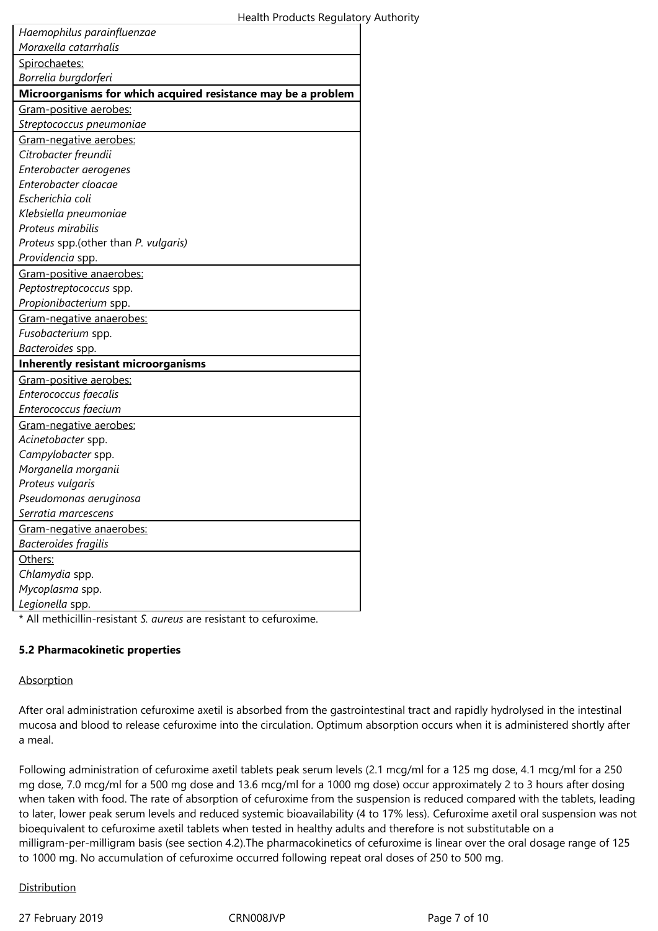| Haemophilus parainfluenzae                                       |
|------------------------------------------------------------------|
| Moraxella catarrhalis                                            |
| Spirochaetes:                                                    |
| Borrelia burgdorferi                                             |
| Microorganisms for which acquired resistance may be a problem    |
| Gram-positive aerobes:                                           |
| Streptococcus pneumoniae                                         |
| Gram-negative aerobes:                                           |
| Citrobacter freundii                                             |
| Enterobacter aerogenes                                           |
| Enterobacter cloacae                                             |
| Escherichia coli                                                 |
| Klebsiella pneumoniae                                            |
| Proteus mirabilis                                                |
| Proteus spp.(other than P. vulgaris)                             |
| Providencia spp.                                                 |
| Gram-positive anaerobes:                                         |
| Peptostreptococcus spp.                                          |
| Propionibacterium spp.                                           |
| Gram-negative anaerobes:                                         |
| Fusobacterium spp.                                               |
| Bacteroides spp.                                                 |
| <b>Inherently resistant microorganisms</b>                       |
| Gram-positive aerobes:                                           |
| Enterococcus faecalis                                            |
| Enterococcus faecium                                             |
| Gram-negative aerobes:                                           |
| Acinetobacter spp.                                               |
| Campylobacter spp.                                               |
| Morganella morganii                                              |
| Proteus vulgaris                                                 |
| Pseudomonas aeruginosa                                           |
| Serratia marcescens                                              |
| Gram-negative anaerobes:                                         |
| Bacteroides fragilis                                             |
| Others:                                                          |
| Chlamydia spp.                                                   |
| Mycoplasma spp.                                                  |
| Legionella spp.                                                  |
| * All methicillin-resistant S qureus are resistant to cefuroxime |

\* All methicillin-resistant *S. aureus* are resistant to cefuroxime.

# **5.2 Pharmacokinetic properties**

### Absorption

After oral administration cefuroxime axetil is absorbed from the gastrointestinal tract and rapidly hydrolysed in the intestinal mucosa and blood to release cefuroxime into the circulation. Optimum absorption occurs when it is administered shortly after a meal.

Following administration of cefuroxime axetil tablets peak serum levels (2.1 mcg/ml for a 125 mg dose, 4.1 mcg/ml for a 250 mg dose, 7.0 mcg/ml for a 500 mg dose and 13.6 mcg/ml for a 1000 mg dose) occur approximately 2 to 3 hours after dosing when taken with food. The rate of absorption of cefuroxime from the suspension is reduced compared with the tablets, leading to later, lower peak serum levels and reduced systemic bioavailability (4 to 17% less). Cefuroxime axetil oral suspension was not bioequivalent to cefuroxime axetil tablets when tested in healthy adults and therefore is not substitutable on a milligram-per-milligram basis (see section 4.2).The pharmacokinetics of cefuroxime is linear over the oral dosage range of 125 to 1000 mg. No accumulation of cefuroxime occurred following repeat oral doses of 250 to 500 mg.

# Distribution

27 February 2019 **CRN008JVP** CRN008JVP Page 7 of 10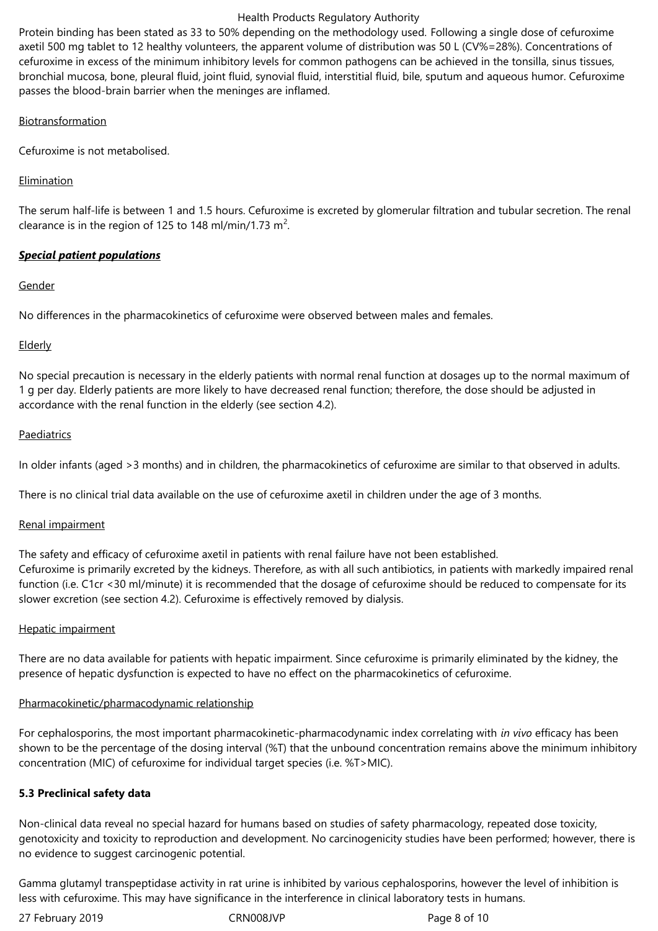#### Health Products Regulatory Authority

Protein binding has been stated as 33 to 50% depending on the methodology used. Following a single dose of cefuroxime axetil 500 mg tablet to 12 healthy volunteers, the apparent volume of distribution was 50 L (CV%=28%). Concentrations of cefuroxime in excess of the minimum inhibitory levels for common pathogens can be achieved in the tonsilla, sinus tissues, bronchial mucosa, bone, pleural fluid, joint fluid, synovial fluid, interstitial fluid, bile, sputum and aqueous humor. Cefuroxime passes the blood-brain barrier when the meninges are inflamed.

#### Biotransformation

Cefuroxime is not metabolised.

# Elimination

The serum half-life is between 1 and 1.5 hours. Cefuroxime is excreted by glomerular filtration and tubular secretion. The renal clearance is in the region of 125 to 148 ml/min/1.73 m<sup>2</sup>.

# *Special patient populations*

### Gender

No differences in the pharmacokinetics of cefuroxime were observed between males and females.

# Elderly

No special precaution is necessary in the elderly patients with normal renal function at dosages up to the normal maximum of 1 g per day. Elderly patients are more likely to have decreased renal function; therefore, the dose should be adjusted in accordance with the renal function in the elderly (see section 4.2).

### Paediatrics

In older infants (aged >3 months) and in children, the pharmacokinetics of cefuroxime are similar to that observed in adults.

There is no clinical trial data available on the use of cefuroxime axetil in children under the age of 3 months.

#### Renal impairment

The safety and efficacy of cefuroxime axetil in patients with renal failure have not been established. Cefuroxime is primarily excreted by the kidneys. Therefore, as with all such antibiotics, in patients with markedly impaired renal function (i.e. C1cr <30 ml/minute) it is recommended that the dosage of cefuroxime should be reduced to compensate for its slower excretion (see section 4.2). Cefuroxime is effectively removed by dialysis.

# Hepatic impairment

There are no data available for patients with hepatic impairment. Since cefuroxime is primarily eliminated by the kidney, the presence of hepatic dysfunction is expected to have no effect on the pharmacokinetics of cefuroxime.

#### Pharmacokinetic/pharmacodynamic relationship

For cephalosporins, the most important pharmacokinetic-pharmacodynamic index correlating with *in vivo* efficacy has been shown to be the percentage of the dosing interval (%T) that the unbound concentration remains above the minimum inhibitory concentration (MIC) of cefuroxime for individual target species (i.e. %T>MIC).

# **5.3 Preclinical safety data**

Non-clinical data reveal no special hazard for humans based on studies of safety pharmacology, repeated dose toxicity, genotoxicity and toxicity to reproduction and development. No carcinogenicity studies have been performed; however, there is no evidence to suggest carcinogenic potential.

Gamma glutamyl transpeptidase activity in rat urine is inhibited by various cephalosporins, however the level of inhibition is less with cefuroxime. This may have significance in the interference in clinical laboratory tests in humans.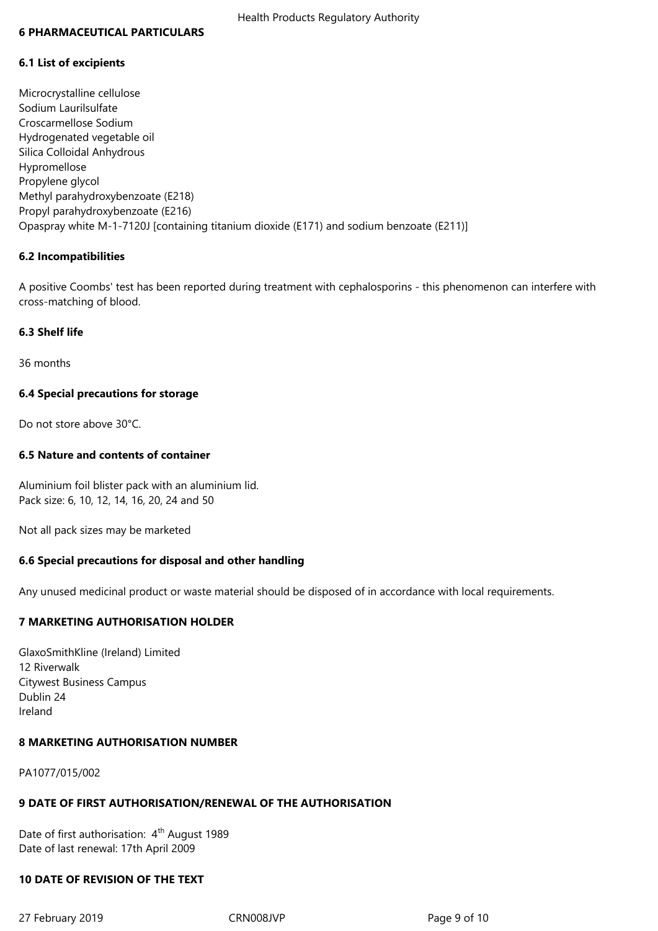#### **6 PHARMACEUTICAL PARTICULARS**

#### **6.1 List of excipients**

Microcrystalline cellulose Sodium Laurilsulfate Croscarmellose Sodium Hydrogenated vegetable oil Silica Colloidal Anhydrous Hypromellose Propylene glycol Methyl parahydroxybenzoate (E218) Propyl parahydroxybenzoate (E216) Opaspray white M-1-7120J [containing titanium dioxide (E171) and sodium benzoate (E211)]

#### **6.2 Incompatibilities**

A positive Coombs' test has been reported during treatment with cephalosporins - this phenomenon can interfere with cross-matching of blood.

#### **6.3 Shelf life**

36 months

#### **6.4 Special precautions for storage**

Do not store above 30°C.

#### **6.5 Nature and contents of container**

Aluminium foil blister pack with an aluminium lid. Pack size: 6, 10, 12, 14, 16, 20, 24 and 50

Not all pack sizes may be marketed

#### **6.6 Special precautions for disposal and other handling**

Any unused medicinal product or waste material should be disposed of in accordance with local requirements.

#### **7 MARKETING AUTHORISATION HOLDER**

GlaxoSmithKline (Ireland) Limited 12 Riverwalk Citywest Business Campus Dublin 24 Ireland

#### **8 MARKETING AUTHORISATION NUMBER**

PA1077/015/002

#### **9 DATE OF FIRST AUTHORISATION/RENEWAL OF THE AUTHORISATION**

Date of first authorisation: 4<sup>th</sup> August 1989 Date of last renewal: 17th April 2009

#### **10 DATE OF REVISION OF THE TEXT**

27 February 2019 **CRN008JVP** CRN008JVP Page 9 of 10